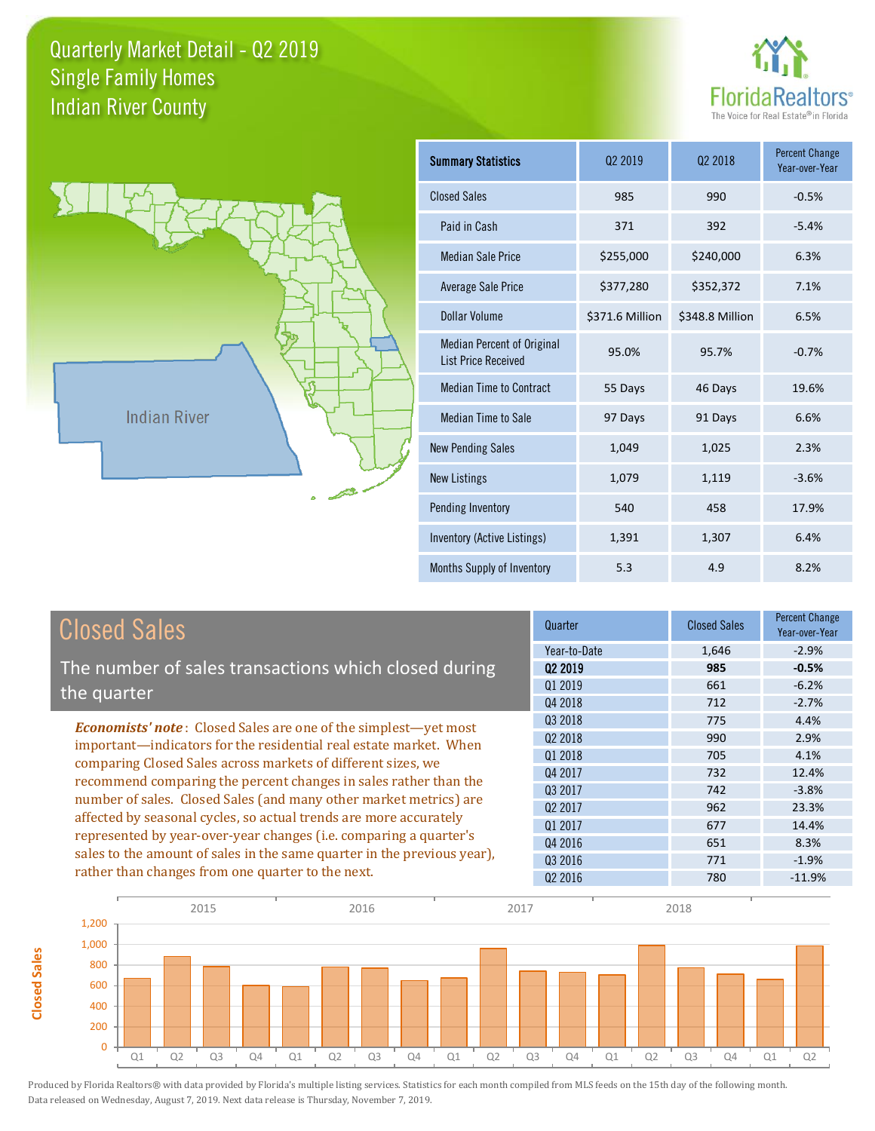



**Closed Sales**

**Closed Sales** 

| <b>Summary Statistics</b>                                       | 02 2019         | 02 2018         | <b>Percent Change</b><br>Year-over-Year |
|-----------------------------------------------------------------|-----------------|-----------------|-----------------------------------------|
| <b>Closed Sales</b>                                             | 985             | 990             | $-0.5%$                                 |
| Paid in Cash                                                    | 371             | 392             | $-5.4%$                                 |
| <b>Median Sale Price</b>                                        | \$255,000       | \$240,000       | 6.3%                                    |
| <b>Average Sale Price</b>                                       | \$377,280       | \$352,372       | 7.1%                                    |
| Dollar Volume                                                   | \$371.6 Million | \$348.8 Million | 6.5%                                    |
| <b>Median Percent of Original</b><br><b>List Price Received</b> | 95.0%           | 95.7%           | $-0.7%$                                 |
| <b>Median Time to Contract</b>                                  | 55 Days         | 46 Days         | 19.6%                                   |
| <b>Median Time to Sale</b>                                      | 97 Days         | 91 Days         | 6.6%                                    |
| <b>New Pending Sales</b>                                        | 1,049           | 1,025           | 2.3%                                    |
| <b>New Listings</b>                                             | 1,079           | 1,119           | $-3.6%$                                 |
| Pending Inventory                                               | 540             | 458             | 17.9%                                   |
| Inventory (Active Listings)                                     | 1,391           | 1,307           | 6.4%                                    |
| Months Supply of Inventory                                      | 5.3             | 4.9             | 8.2%                                    |

| <b>Closed Sales</b>                                                                                                                                                                                   | Quarter             | <b>Closed Sales</b> | <b>Percent Change</b><br>Year-over-Year |
|-------------------------------------------------------------------------------------------------------------------------------------------------------------------------------------------------------|---------------------|---------------------|-----------------------------------------|
|                                                                                                                                                                                                       | Year-to-Date        | 1,646               | $-2.9%$                                 |
| The number of sales transactions which closed during                                                                                                                                                  | 02 2019             | 985                 | $-0.5%$                                 |
| the quarter                                                                                                                                                                                           | 01 2019             | 661                 | $-6.2%$                                 |
|                                                                                                                                                                                                       | Q4 2018             | 712                 | $-2.7%$                                 |
| <b>Economists' note:</b> Closed Sales are one of the simplest-yet most                                                                                                                                | Q3 2018             | 775                 | 4.4%                                    |
| important—indicators for the residential real estate market. When                                                                                                                                     | 02 2018             | 990                 | 2.9%                                    |
| comparing Closed Sales across markets of different sizes, we<br>recommend comparing the percent changes in sales rather than the<br>number of sales. Closed Sales (and many other market metrics) are | Q1 2018             | 705                 | 4.1%                                    |
|                                                                                                                                                                                                       | Q4 2017             | 732                 | 12.4%                                   |
|                                                                                                                                                                                                       | Q3 2017             | 742                 | $-3.8%$                                 |
|                                                                                                                                                                                                       | Q <sub>2</sub> 2017 | 962                 | 23.3%                                   |
| affected by seasonal cycles, so actual trends are more accurately                                                                                                                                     | Q1 2017             | 677                 | 14.4%                                   |
| represented by year-over-year changes (i.e. comparing a quarter's                                                                                                                                     | Q4 2016             | 651                 | 8.3%                                    |
| sales to the amount of sales in the same quarter in the previous year),                                                                                                                               | Q3 2016             | 771                 | $-1.9%$                                 |
| rather than changes from one quarter to the next.                                                                                                                                                     | Q <sub>2</sub> 2016 | 780                 | $-11.9%$                                |

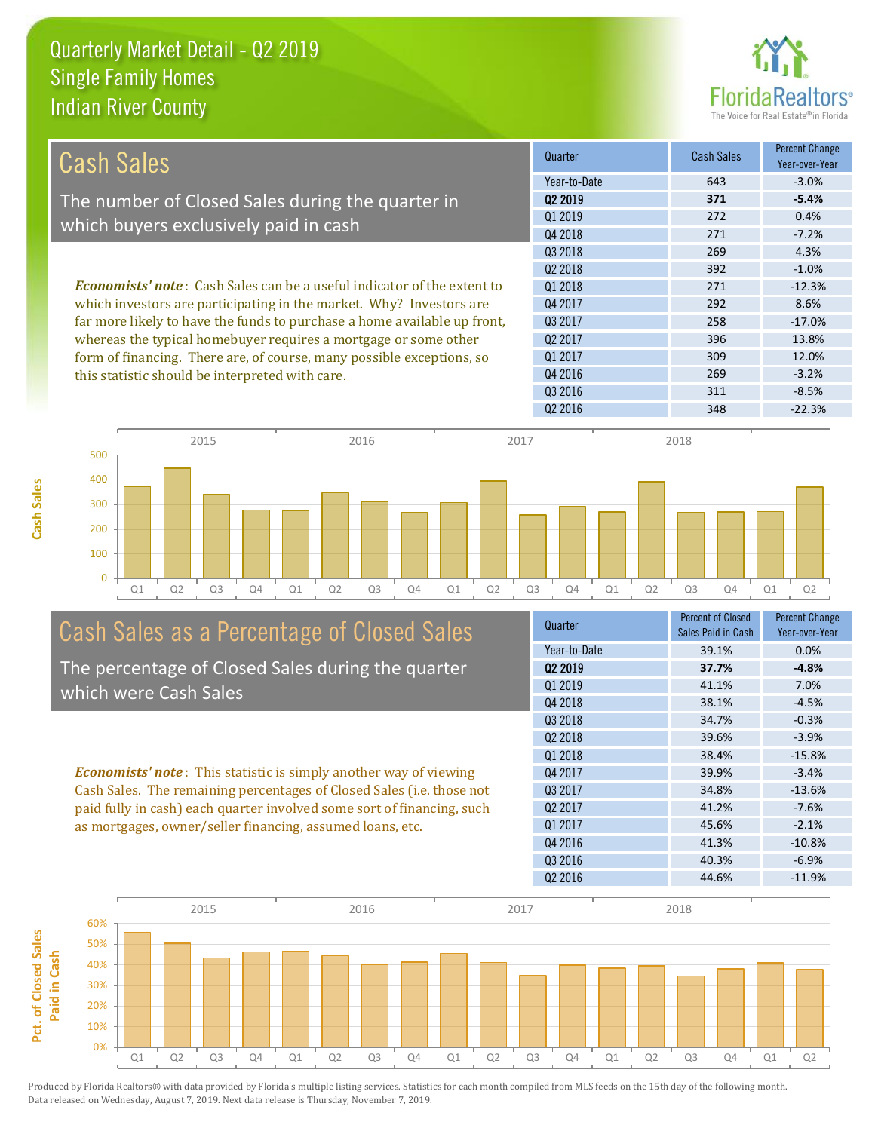

| <b>Cash Sales</b>                                                              | Quarter             | <b>Cash Sales</b> | <b>Percent Change</b><br>Year-over-Year |
|--------------------------------------------------------------------------------|---------------------|-------------------|-----------------------------------------|
|                                                                                | Year-to-Date        | 643               | $-3.0%$                                 |
| The number of Closed Sales during the quarter in                               | 02 2019             | 371               | $-5.4%$                                 |
|                                                                                | 01 2019             | 272               | 0.4%                                    |
| which buyers exclusively paid in cash                                          | Q4 2018             | 271               | $-7.2%$                                 |
|                                                                                | Q3 2018             | 269               | 4.3%                                    |
|                                                                                | 02 2018             | 392               | $-1.0%$                                 |
| <b>Economists' note:</b> Cash Sales can be a useful indicator of the extent to | 01 2018             | 271               | $-12.3%$                                |
| which investors are participating in the market. Why? Investors are            | Q4 2017             | 292               | 8.6%                                    |
| far more likely to have the funds to purchase a home available up front,       | 03 2017             | 258               | $-17.0%$                                |
| whereas the typical homebuyer requires a mortgage or some other                | Q <sub>2</sub> 2017 | 396               | 13.8%                                   |
| form of financing. There are, of course, many possible exceptions, so          | Q1 2017             | 309               | 12.0%                                   |
| this statistic should be interpreted with care.                                | Q4 2016             | 269               | $-3.2%$                                 |
|                                                                                | Q3 2016             | 311               | $-8.5%$                                 |
|                                                                                | Q <sub>2</sub> 2016 | 348               | $-22.3%$                                |



# Cash Sales as a Percentage of Closed Sales

The percentage of Closed Sales during the quarter which were Cash Sales

*Economists' note* : This statistic is simply another way of viewing Cash Sales. The remaining percentages of Closed Sales (i.e. those not paid fully in cash) each quarter involved some sort of financing, such as mortgages, owner/seller financing, assumed loans, etc.

| Quarter             | <b>Percent of Closed</b><br>Sales Paid in Cash | <b>Percent Change</b><br>Year-over-Year |
|---------------------|------------------------------------------------|-----------------------------------------|
| Year-to-Date        | 39.1%                                          | 0.0%                                    |
| 02 2019             | 37.7%                                          | $-4.8%$                                 |
| 01 2019             | 41.1%                                          | 7.0%                                    |
| Q4 2018             | 38.1%                                          | $-4.5%$                                 |
| 03 2018             | 34.7%                                          | $-0.3%$                                 |
| 02 2018             | 39.6%                                          | $-3.9%$                                 |
| Q1 2018             | 38.4%                                          | $-15.8%$                                |
| Q4 2017             | 39.9%                                          | $-3.4%$                                 |
| 03 2017             | 34.8%                                          | $-13.6%$                                |
| Q <sub>2</sub> 2017 | 41.2%                                          | $-7.6%$                                 |
| 01 2017             | 45.6%                                          | $-2.1%$                                 |
| Q4 2016             | 41.3%                                          | $-10.8%$                                |
| Q3 2016             | 40.3%                                          | $-6.9%$                                 |
| Q <sub>2</sub> 2016 | 44.6%                                          | $-11.9%$                                |
|                     |                                                |                                         |

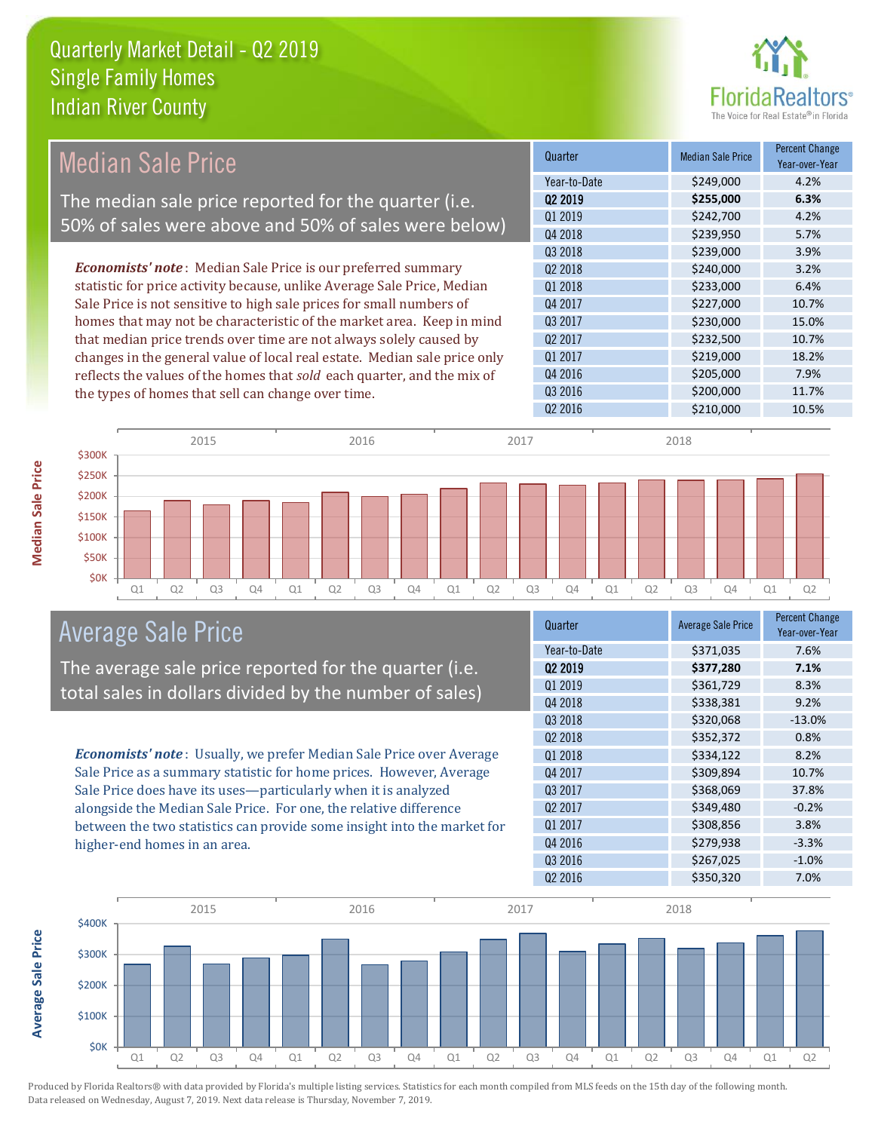

| <b>Median Sale Price</b>                                                  | Quarter             | <b>Median Sale Price</b> | <b>Percent Change</b><br>Year-over-Year |
|---------------------------------------------------------------------------|---------------------|--------------------------|-----------------------------------------|
|                                                                           | Year-to-Date        | \$249,000                | 4.2%                                    |
| The median sale price reported for the quarter (i.e.                      | 02 2019             | \$255,000                | 6.3%                                    |
| 50% of sales were above and 50% of sales were below)                      | Q1 2019             | \$242,700                | 4.2%                                    |
|                                                                           | Q4 2018             | \$239,950                | 5.7%                                    |
|                                                                           | Q3 2018             | \$239,000                | 3.9%                                    |
| <b>Economists' note</b> : Median Sale Price is our preferred summary      | Q <sub>2</sub> 2018 | \$240,000                | 3.2%                                    |
| statistic for price activity because, unlike Average Sale Price, Median   | Q1 2018             | \$233,000                | 6.4%                                    |
| Sale Price is not sensitive to high sale prices for small numbers of      | Q4 2017             | \$227,000                | 10.7%                                   |
| homes that may not be characteristic of the market area. Keep in mind     | Q3 2017             | \$230,000                | 15.0%                                   |
| that median price trends over time are not always solely caused by        | Q <sub>2</sub> 2017 | \$232,500                | 10.7%                                   |
| changes in the general value of local real estate. Median sale price only | Q1 2017             | \$219,000                | 18.2%                                   |
| reflects the values of the homes that sold each quarter, and the mix of   | Q4 2016             | \$205,000                | 7.9%                                    |
| the types of homes that sell can change over time.                        | Q3 2016             | \$200,000                | 11.7%                                   |
|                                                                           | Q <sub>2</sub> 2016 | \$210,000                | 10.5%                                   |
| 2015<br>2016<br>2017                                                      |                     | 2018                     |                                         |



# Average Sale Price

The average sale price reported for the quarter (i.e. total sales in dollars divided by the number of sales)

*Economists' note* : Usually, we prefer Median Sale Price over Average Sale Price as a summary statistic for home prices. However, Average Sale Price does have its uses—particularly when it is analyzed alongside the Median Sale Price. For one, the relative difference between the two statistics can provide some insight into the market for higher-end homes in an area.

| Quarter             | <b>Average Sale Price</b> | <b>Percent Change</b><br>Year-over-Year |
|---------------------|---------------------------|-----------------------------------------|
| Year-to-Date        | \$371,035                 | 7.6%                                    |
| Q <sub>2</sub> 2019 | \$377,280                 | 7.1%                                    |
| 01 2019             | \$361,729                 | 8.3%                                    |
| Q4 2018             | \$338,381                 | 9.2%                                    |
| Q3 2018             | \$320,068                 | $-13.0%$                                |
| Q <sub>2</sub> 2018 | \$352,372                 | 0.8%                                    |
| Q1 2018             | \$334,122                 | 8.2%                                    |
| Q4 2017             | \$309,894                 | 10.7%                                   |
| 03 2017             | \$368,069                 | 37.8%                                   |
| Q <sub>2</sub> 2017 | \$349,480                 | $-0.2%$                                 |
| Q1 2017             | \$308,856                 | 3.8%                                    |
| Q4 2016             | \$279,938                 | $-3.3%$                                 |
| Q3 2016             | \$267,025                 | $-1.0%$                                 |
| Q2 2016             | \$350,320                 | 7.0%                                    |
|                     |                           |                                         |



Median Sale Price

**Average Sale Price Average Sale Price**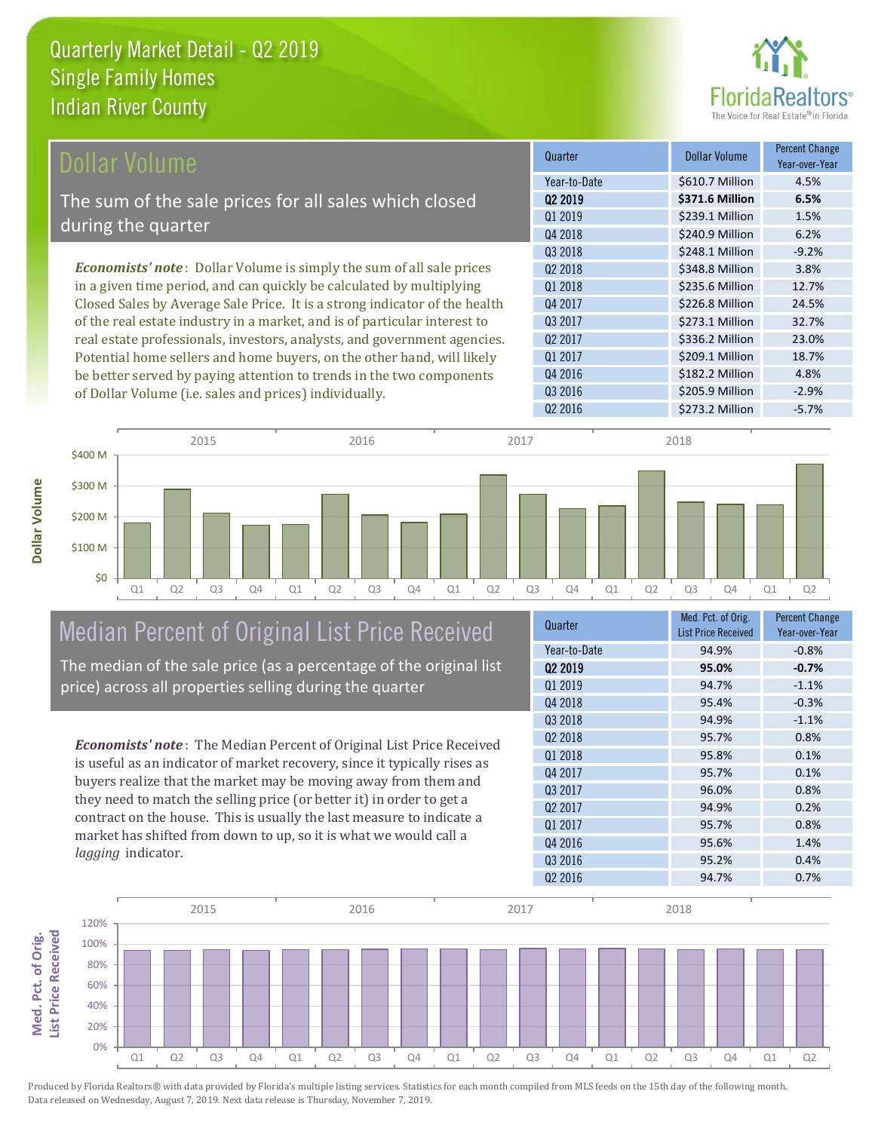

| Dollar Volume                                                                | Quarter             | <b>Dollar Volume</b> | <b>Percent Change</b><br>Year-over-Year |
|------------------------------------------------------------------------------|---------------------|----------------------|-----------------------------------------|
|                                                                              | Year-to-Date        | \$610.7 Million      | 4.5%                                    |
| The sum of the sale prices for all sales which closed                        | 02 2019             | \$371.6 Million      | 6.5%                                    |
| during the quarter                                                           | Q1 2019             | \$239.1 Million      | 1.5%                                    |
|                                                                              | Q4 2018             | \$240.9 Million      | 6.2%                                    |
|                                                                              | Q3 2018             | \$248.1 Million      | $-9.2%$                                 |
| <b>Economists' note</b> : Dollar Volume is simply the sum of all sale prices | 02 2018             | \$348.8 Million      | 3.8%                                    |
| in a given time period, and can quickly be calculated by multiplying         | Q1 2018             | \$235.6 Million      | 12.7%                                   |
| Closed Sales by Average Sale Price. It is a strong indicator of the health   | Q4 2017             | \$226.8 Million      | 24.5%                                   |
| of the real estate industry in a market, and is of particular interest to    | Q3 2017             | \$273.1 Million      | 32.7%                                   |
| real estate professionals, investors, analysts, and government agencies.     | Q <sub>2</sub> 2017 | \$336.2 Million      | 23.0%                                   |
| Potential home sellers and home buyers, on the other hand, will likely       | Q1 2017             | \$209.1 Million      | 18.7%                                   |
| be better served by paying attention to trends in the two components         | Q4 2016             | \$182.2 Million      | 4.8%                                    |

Q1 Q2 Q3 Q4 Q1 Q2 Q3 Q4 Q1 Q2 Q3 Q4 Q1 Q2 Q3 Q4 Q1 Q2 \$0 \$100 M \$200 M \$300 M \$400 M 2015 2016 2017 2018

# Median Percent of Original List Price Received The median of the sale price (as a percentage of the original list

of Dollar Volume (i.e. sales and prices) individually.

price) across all properties selling during the quarter

*Economists' note* : The Median Percent of Original List Price Received is useful as an indicator of market recovery, since it typically rises as buyers realize that the market may be moving away from them and they need to match the selling price (or better it) in order to get a contract on the house. This is usually the last measure to indicate a market has shifted from down to up, so it is what we would call a *lagging* indicator.

| Quarter             | Med. Pct. of Orig.<br><b>List Price Received</b> | <b>Percent Change</b><br>Year-over-Year |
|---------------------|--------------------------------------------------|-----------------------------------------|
| Year-to-Date        | 94.9%                                            | $-0.8%$                                 |
| 02 2019             | 95.0%                                            | $-0.7%$                                 |
| Q1 2019             | 94.7%                                            | $-1.1%$                                 |
| Q4 2018             | 95.4%                                            | $-0.3%$                                 |
| 03 2018             | 94.9%                                            | $-1.1%$                                 |
| Q <sub>2</sub> 2018 | 95.7%                                            | 0.8%                                    |
| Q1 2018             | 95.8%                                            | 0.1%                                    |
| Q4 2017             | 95.7%                                            | 0.1%                                    |
| 03 2017             | 96.0%                                            | 0.8%                                    |
| 02 2017             | 94.9%                                            | 0.2%                                    |
| 01 2017             | 95.7%                                            | 0.8%                                    |
| Q4 2016             | 95.6%                                            | 1.4%                                    |
| Q3 2016             | 95.2%                                            | 0.4%                                    |
| Q <sub>2</sub> 2016 | 94.7%                                            | 0.7%                                    |

Q2 2016 \$273.2 Million -5.7%

Q3 2016 \$205.9 Million -2.9%



Med. Pct. of Orig.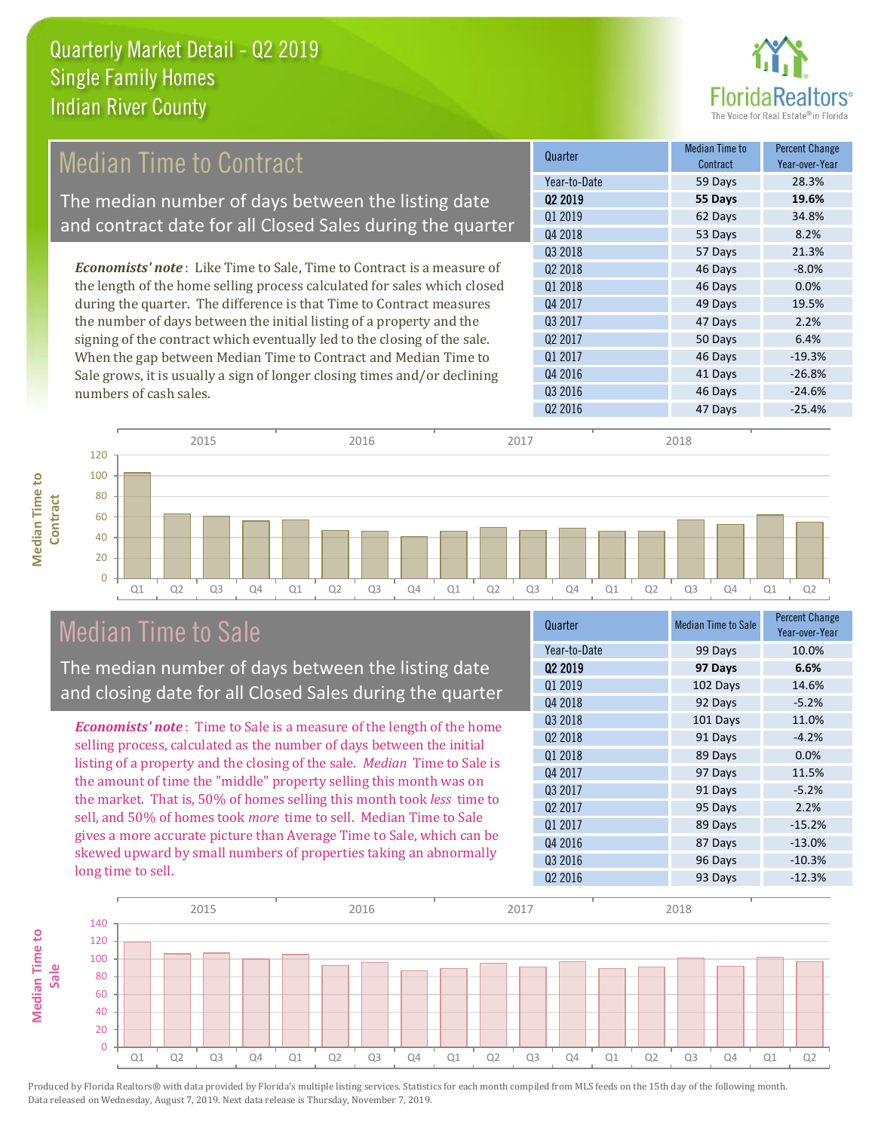

#### 53 Days 8.2% Q3 2018 57 Days 21.3% **Cuarter Median Time to** Contract Percent Change Year-over-Year Q2 2019 **55 Days 19.6%** Year-to-Date 59 Days 28.3% Q1 2019 62 Days 34.8% Q4 2018 Q4 2017 49 Days 19.5% Q3 2017 47 Days 2.2%  $Q2\,2018$  -8.0% Q1 2018 46 Days 0.0% *Economists' note* : Like Time to Sale, Time to Contract is a measure of the length of the home selling process calculated for sales which closed during the quarter. The difference is that Time to Contract measures the number of days between the initial listing of a property and the Median Time to Contract The median number of days between the listing date and contract date for all Closed Sales during the quarter

2015 2016 2017 2018

signing of the contract which eventually led to the closing of the sale. When the gap between Median Time to Contract and Median Time to Sale grows, it is usually a sign of longer closing times and/or declining numbers of cash sales.

|                     | Contract | Year-over-Year |
|---------------------|----------|----------------|
| Year-to-Date        | 59 Days  | 28.3%          |
| 02 2019             | 55 Days  | 19.6%          |
| Q1 2019             | 62 Days  | 34.8%          |
| Q4 2018             | 53 Days  | 8.2%           |
| Q3 2018             | 57 Days  | 21.3%          |
| Q <sub>2</sub> 2018 | 46 Days  | $-8.0%$        |
| Q1 2018             | 46 Days  | 0.0%           |
| Q4 2017             | 49 Days  | 19.5%          |
| 03 2017             | 47 Days  | 2.2%           |
| Q <sub>2</sub> 2017 | 50 Days  | 6.4%           |
| Q1 2017             | 46 Days  | $-19.3%$       |
| Q4 2016             | 41 Days  | $-26.8%$       |
| Q3 2016             | 46 Days  | $-24.6%$       |
| Q <sub>2</sub> 2016 | 47 Days  | $-25.4%$       |
|                     |          |                |



# Median Time to Sale

The median number of days between the listing date and closing date for all Closed Sales during the quarter

*Economists' note* : Time to Sale is a measure of the length of the home selling process, calculated as the number of days between the initial listing of a property and the closing of the sale. *Median* Time to Sale is the amount of time the "middle" property selling this month was on the market. That is, 50% of homes selling this month took *less* time to sell, and 50% of homes took *more* time to sell. Median Time to Sale gives a more accurate picture than Average Time to Sale, which can be skewed upward by small numbers of properties taking an abnormally long time to sell.

| Quarter             | <b>Median Time to Sale</b> | <b>Percent Change</b><br>Year-over-Year |
|---------------------|----------------------------|-----------------------------------------|
| Year-to-Date        | 99 Days                    | 10.0%                                   |
| Q <sub>2</sub> 2019 | 97 Days                    | 6.6%                                    |
| Q1 2019             | 102 Days                   | 14.6%                                   |
| Q4 2018             | 92 Days                    | $-5.2%$                                 |
| Q3 2018             | 101 Days                   | 11.0%                                   |
| Q <sub>2</sub> 2018 | 91 Days                    | $-4.2%$                                 |
| Q1 2018             | 89 Days                    | 0.0%                                    |
| Q4 2017             | 97 Days                    | 11.5%                                   |
| Q3 2017             | 91 Days                    | $-5.2%$                                 |
| Q <sub>2</sub> 2017 | 95 Days                    | 2.2%                                    |
| Q1 2017             | 89 Days                    | $-15.2%$                                |
| Q4 2016             | 87 Days                    | $-13.0%$                                |
| Q3 2016             | 96 Days                    | $-10.3%$                                |
| Q <sub>2</sub> 2016 | 93 Days                    | $-12.3%$                                |
|                     |                            |                                         |

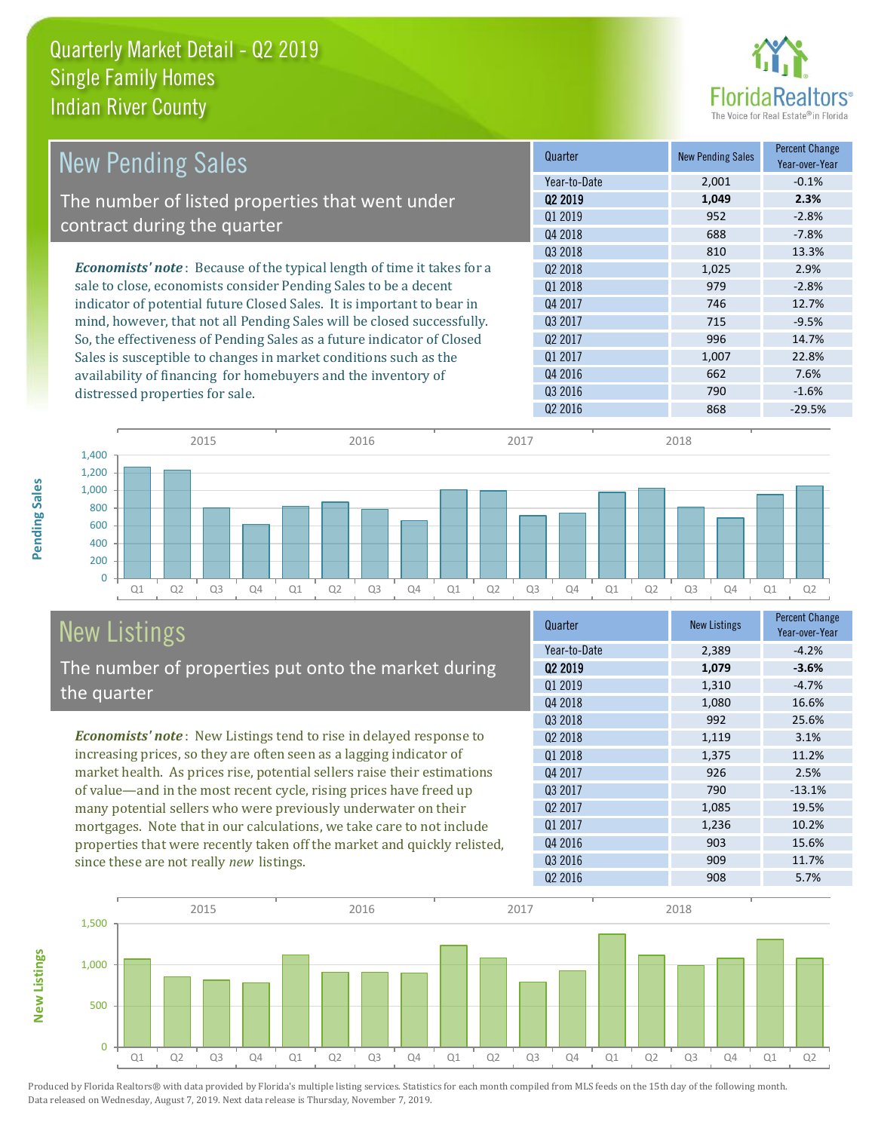

| <b>New Pending Sales</b>                                                      | Quarter             | <b>New Pending Sales</b> | <b>Percent Change</b><br>Year-over-Year |
|-------------------------------------------------------------------------------|---------------------|--------------------------|-----------------------------------------|
|                                                                               | Year-to-Date        | 2,001                    | $-0.1%$                                 |
| The number of listed properties that went under                               | 02 2019             | 1,049                    | 2.3%                                    |
| contract during the quarter                                                   | 01 2019             | 952                      | $-2.8%$                                 |
|                                                                               | Q4 2018             | 688                      | $-7.8%$                                 |
|                                                                               | Q3 2018             | 810                      | 13.3%                                   |
| <b>Economists' note:</b> Because of the typical length of time it takes for a | 02 2018             | 1,025                    | 2.9%                                    |
| sale to close, economists consider Pending Sales to be a decent               | 01 2018             | 979                      | $-2.8%$                                 |
| indicator of potential future Closed Sales. It is important to bear in        | Q4 2017             | 746                      | 12.7%                                   |
| mind, however, that not all Pending Sales will be closed successfully.        | Q3 2017             | 715                      | $-9.5%$                                 |
| So, the effectiveness of Pending Sales as a future indicator of Closed        | Q <sub>2</sub> 2017 | 996                      | 14.7%                                   |
| Sales is susceptible to changes in market conditions such as the              | Q1 2017             | 1,007                    | 22.8%                                   |
| availability of financing for homebuyers and the inventory of                 | Q4 2016             | 662                      | 7.6%                                    |
| distressed properties for sale.                                               | 03 2016             | 790                      | $-1.6%$                                 |
|                                                                               | 02 2016             | 868                      | $-29.5%$                                |

**New Listings**



# New Listings The number of properties put onto the market during

*Economists' note* : New Listings tend to rise in delayed response to the quarter

increasing prices, so they are often seen as a lagging indicator of market health. As prices rise, potential sellers raise their estimations of value—and in the most recent cycle, rising prices have freed up many potential sellers who were previously underwater on their mortgages. Note that in our calculations, we take care to not include properties that were recently taken off the market and quickly relisted, since these are not really *new* listings.

| Quarter             | <b>New Listings</b> | <b>Percent Change</b><br>Year-over-Year |
|---------------------|---------------------|-----------------------------------------|
| Year-to-Date        | 2,389               | $-4.2%$                                 |
| Q <sub>2</sub> 2019 | 1,079               | $-3.6%$                                 |
| Q1 2019             | 1,310               | $-4.7%$                                 |
| Q4 2018             | 1,080               | 16.6%                                   |
| 03 2018             | 992                 | 25.6%                                   |
| Q <sub>2</sub> 2018 | 1,119               | 3.1%                                    |
| Q1 2018             | 1,375               | 11.2%                                   |
| Q4 2017             | 926                 | 2.5%                                    |
| Q3 2017             | 790                 | $-13.1%$                                |
| Q <sub>2</sub> 2017 | 1,085               | 19.5%                                   |
| Q1 2017             | 1,236               | 10.2%                                   |
| Q4 2016             | 903                 | 15.6%                                   |
| Q3 2016             | 909                 | 11.7%                                   |
| Q <sub>2</sub> 2016 | 908                 | 5.7%                                    |

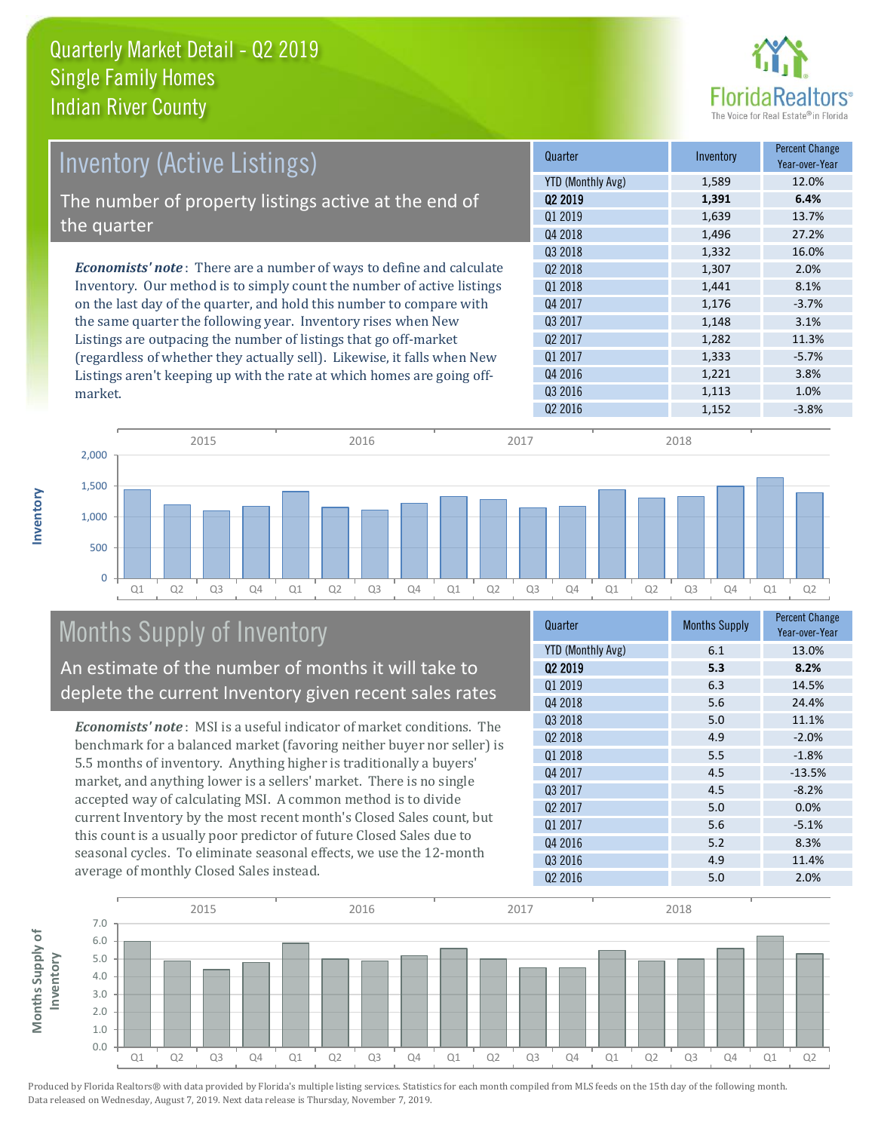

| <b>Inventory (Active Listings)</b>                                           | Quarter             | Inventory | <b>Percent Change</b><br>Year-over-Year |
|------------------------------------------------------------------------------|---------------------|-----------|-----------------------------------------|
|                                                                              | YTD (Monthly Avg)   | 1,589     | 12.0%                                   |
| The number of property listings active at the end of                         | 02 2019             | 1,391     | 6.4%                                    |
|                                                                              | Q1 2019             | 1,639     | 13.7%                                   |
| the quarter                                                                  | Q4 2018             | 1,496     | 27.2%                                   |
|                                                                              | Q3 2018             | 1,332     | 16.0%                                   |
| <b>Economists' note</b> : There are a number of ways to define and calculate | Q <sub>2</sub> 2018 | 1,307     | 2.0%                                    |
| Inventory. Our method is to simply count the number of active listings       | 01 2018             | 1,441     | 8.1%                                    |
| on the last day of the quarter, and hold this number to compare with         | Q4 2017             | 1,176     | $-3.7%$                                 |
| the same quarter the following year. Inventory rises when New                | Q3 2017             | 1,148     | 3.1%                                    |
| Listings are outpacing the number of listings that go off-market             | Q <sub>2</sub> 2017 | 1,282     | 11.3%                                   |
| (regardless of whether they actually sell). Likewise, it falls when New      | Q1 2017             | 1,333     | $-5.7%$                                 |
| Listings aren't keeping up with the rate at which homes are going off-       | Q4 2016             | 1,221     | 3.8%                                    |
| market.                                                                      | Q3 2016             | 1,113     | 1.0%                                    |



# Months Supply of Inventory

An estimate of the number of months it will take to deplete the current Inventory given recent sales rates

*Economists' note* : MSI is a useful indicator of market conditions. The benchmark for a balanced market (favoring neither buyer nor seller) is 5.5 months of inventory. Anything higher is traditionally a buyers' market, and anything lower is a sellers' market. There is no single accepted way of calculating MSI. A common method is to divide current Inventory by the most recent month's Closed Sales count, but this count is a usually poor predictor of future Closed Sales due to seasonal cycles. To eliminate seasonal effects, we use the 12-month average of monthly Closed Sales instead.

| Quarter                  | <b>Months Supply</b> | <b>Percent Change</b><br>Year-over-Year |
|--------------------------|----------------------|-----------------------------------------|
| <b>YTD (Monthly Avg)</b> | 6.1                  | 13.0%                                   |
| 02 2019                  | 5.3                  | 8.2%                                    |
| Q1 2019                  | 6.3                  | 14.5%                                   |
| Q4 2018                  | 5.6                  | 24.4%                                   |
| 03 2018                  | 5.0                  | 11.1%                                   |
| Q <sub>2</sub> 2018      | 4.9                  | $-2.0%$                                 |
| Q1 2018                  | 5.5                  | $-1.8%$                                 |
| Q4 2017                  | 4.5                  | $-13.5%$                                |
| Q3 2017                  | 4.5                  | $-8.2%$                                 |
| Q <sub>2</sub> 2017      | 5.0                  | 0.0%                                    |
| 01 2017                  | 5.6                  | $-5.1%$                                 |
| Q4 2016                  | 5.2                  | 8.3%                                    |
| Q3 2016                  | 4.9                  | 11.4%                                   |
| Q <sub>2</sub> 2016      | 5.0                  | 2.0%                                    |

 $Q2\,2016$   $1,152$   $-3.8\%$ 



**Inventory**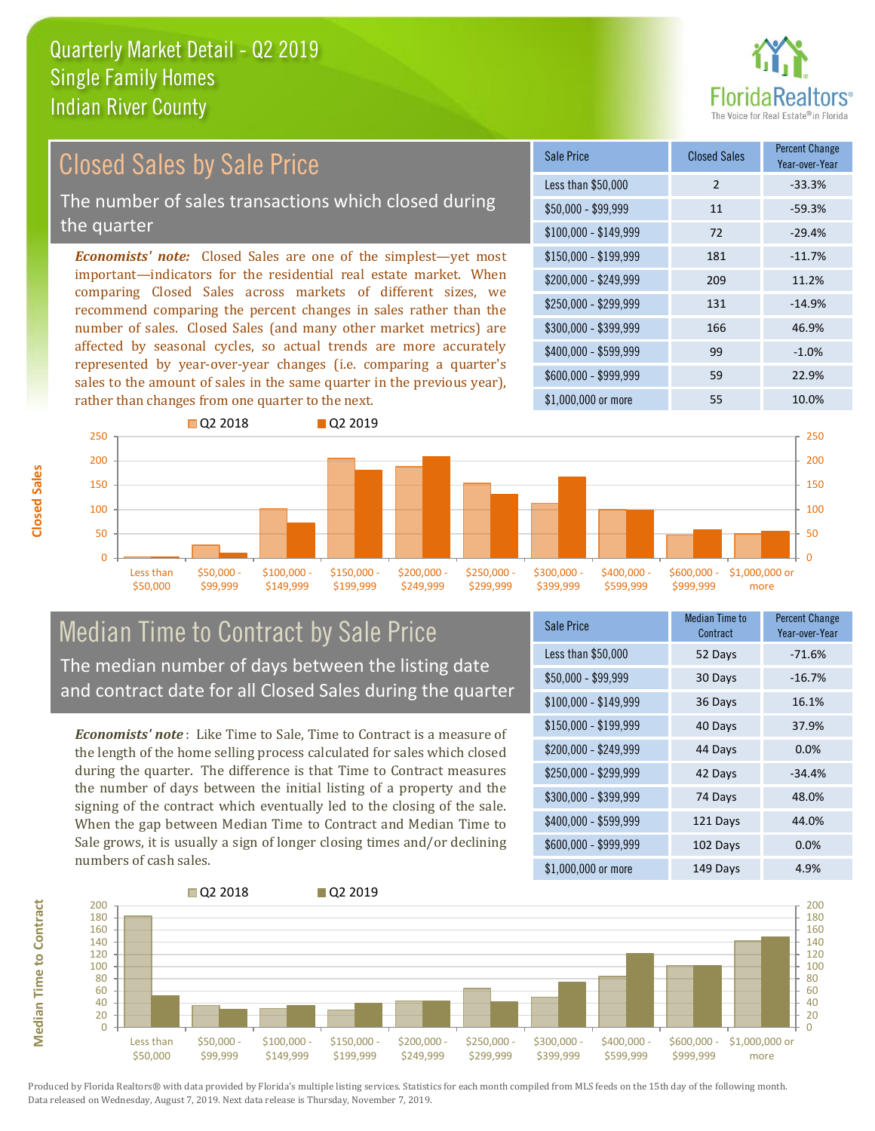

#### *Economists' note:* Closed Sales are one of the simplest—yet most important—indicators for the residential real estate market. When comparing Closed Sales across markets of different sizes, we recommend comparing the percent changes in sales rather than the number of sales. Closed Sales (and many other market metrics) are affected by seasonal cycles, so actual trends are more accurately represented by year-over-year changes (i.e. comparing a quarter's sales to the amount of sales in the same quarter in the previous year), rather than changes from one quarter to the next. \$1,000,000 or more 55 55 10.0%  $$250,000 - $299,999$  131 -14.9% \$300,000 - \$399,999 166 46.9% \$400,000 - \$599,999 99 -1.0% \$600,000 - \$999,999 59 22.9% \$150,000 - \$199,999 181 -11.7% \$200,000 - \$249,999 209 11.2%  $$100,000 - $149,999$  72 -29.4% Sale Price Closed Sales Percent Change Year-over-Year Less than \$50,000 2 33.3%  $$50.000 - $99.999$  11  $$59.3\%$ **Q2 2018** Q2 2019 Closed Sales by Sale Price The number of sales transactions which closed during the quarter



# Median Time to Contract by Sale Price The median number of days between the listing date and contract date for all Closed Sales during the quarter

*Economists' note* : Like Time to Sale, Time to Contract is a measure of the length of the home selling process calculated for sales which closed during the quarter. The difference is that Time to Contract measures the number of days between the initial listing of a property and the signing of the contract which eventually led to the closing of the sale. When the gap between Median Time to Contract and Median Time to Sale grows, it is usually a sign of longer closing times and/or declining numbers of cash sales.

| Sale Price            | <b>Median Time to</b><br>Contract | <b>Percent Change</b><br>Year-over-Year |
|-----------------------|-----------------------------------|-----------------------------------------|
| Less than \$50,000    | 52 Days                           | $-71.6%$                                |
| $$50,000 - $99,999$   | 30 Days                           | $-16.7%$                                |
| $$100,000 - $149,999$ | 36 Days                           | 16.1%                                   |
| $$150,000 - $199,999$ | 40 Days                           | 37.9%                                   |
| \$200,000 - \$249,999 | 44 Days                           | $0.0\%$                                 |
| \$250,000 - \$299,999 | 42 Days                           | $-34.4%$                                |
| \$300,000 - \$399,999 | 74 Days                           | 48.0%                                   |
| \$400,000 - \$599,999 | 121 Days                          | 44.0%                                   |
| \$600,000 - \$999,999 | 102 Days                          | 0.0%                                    |
| \$1,000,000 or more   | 149 Days                          | 4.9%                                    |



**Closed Sales**

**Median Time to Contract Median Time to Contract**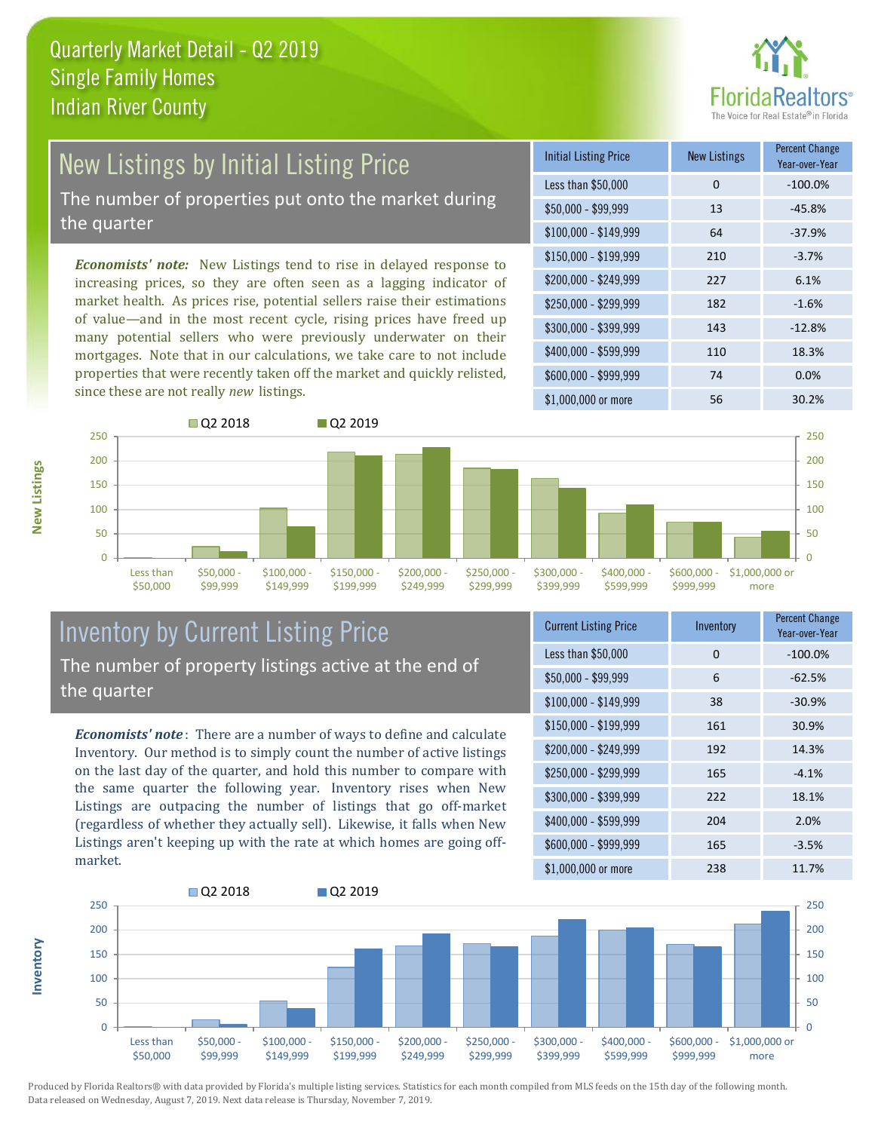

# New Listings by Initial Listing Price

The number of properties put onto the market during the quarter

*Economists' note:* New Listings tend to rise in delayed response to increasing prices, so they are often seen as a lagging indicator of market health. As prices rise, potential sellers raise their estimations of value—and in the most recent cycle, rising prices have freed up many potential sellers who were previously underwater on their mortgages. Note that in our calculations, we take care to not include properties that were recently taken off the market and quickly relisted, since these are not really *new* listings.





# Inventory by Current Listing Price The number of property listings active at the end of the quarter

*Economists' note* : There are a number of ways to define and calculate Inventory. Our method is to simply count the number of active listings on the last day of the quarter, and hold this number to compare with the same quarter the following year. Inventory rises when New Listings are outpacing the number of listings that go off-market (regardless of whether they actually sell). Likewise, it falls when New Listings aren't keeping up with the rate at which homes are going offmarket.

| <b>Current Listing Price</b> | Inventory | <b>Percent Change</b><br>Year-over-Year |
|------------------------------|-----------|-----------------------------------------|
| Less than \$50,000           | 0         | $-100.0%$                               |
| $$50,000 - $99,999$          | 6         | $-62.5%$                                |
| $$100,000 - $149,999$        | 38        | $-30.9%$                                |
| $$150,000 - $199,999$        | 161       | 30.9%                                   |
| \$200,000 - \$249,999        | 192       | 14.3%                                   |
| \$250,000 - \$299,999        | 165       | $-4.1%$                                 |
| \$300,000 - \$399,999        | 222       | 18.1%                                   |
| \$400,000 - \$599,999        | 204       | 2.0%                                    |
| \$600,000 - \$999,999        | 165       | $-3.5%$                                 |
| \$1,000,000 or more          | 238       | 11.7%                                   |



Produced by Florida Realtors® with data provided by Florida's multiple listing services. Statistics for each month compiled from MLS feeds on the 15th day of the following month. Data released on Wednesday, August 7, 2019. Next data release is Thursday, November 7, 2019.

**Inventory**